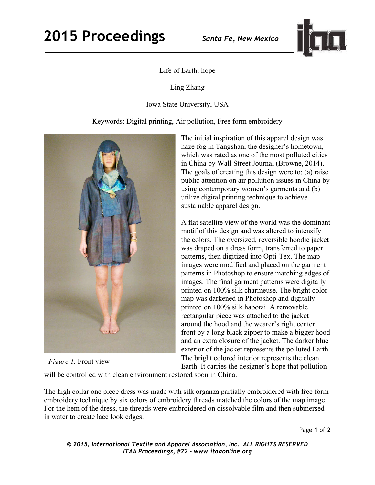

## Life of Earth: hope

Ling Zhang

Iowa State University, USA

Keywords: Digital printing, Air pollution, Free form embroidery



*Figure 1.* Front view

The initial inspiration of this apparel design was haze fog in Tangshan, the designer's hometown, which was rated as one of the most polluted cities in China by Wall Street Journal (Browne, 2014). The goals of creating this design were to: (a) raise public attention on air pollution issues in China by using contemporary women's garments and (b) utilize digital printing technique to achieve sustainable apparel design.

A flat satellite view of the world was the dominant motif of this design and was altered to intensify the colors. The oversized, reversible hoodie jacket was draped on a dress form, transferred to paper patterns, then digitized into Opti-Tex. The map images were modified and placed on the garment patterns in Photoshop to ensure matching edges of images. The final garment patterns were digitally printed on 100% silk charmeuse. The bright color map was darkened in Photoshop and digitally printed on 100% silk habotai. A removable rectangular piece was attached to the jacket around the hood and the wearer's right center front by a long black zipper to make a bigger hood and an extra closure of the jacket. The darker blue exterior of the jacket represents the polluted Earth. The bright colored interior represents the clean Earth. It carries the designer's hope that pollution

will be controlled with clean environment restored soon in China.

The high collar one piece dress was made with silk organza partially embroidered with free form embroidery technique by six colors of embroidery threads matched the colors of the map image. For the hem of the dress, the threads were embroidered on dissolvable film and then submersed in water to create lace look edges.

*© 2015, International Textile and Apparel Association, Inc. ALL RIGHTS RESERVED ITAA Proceedings, #72 – www.itaaonline.org*